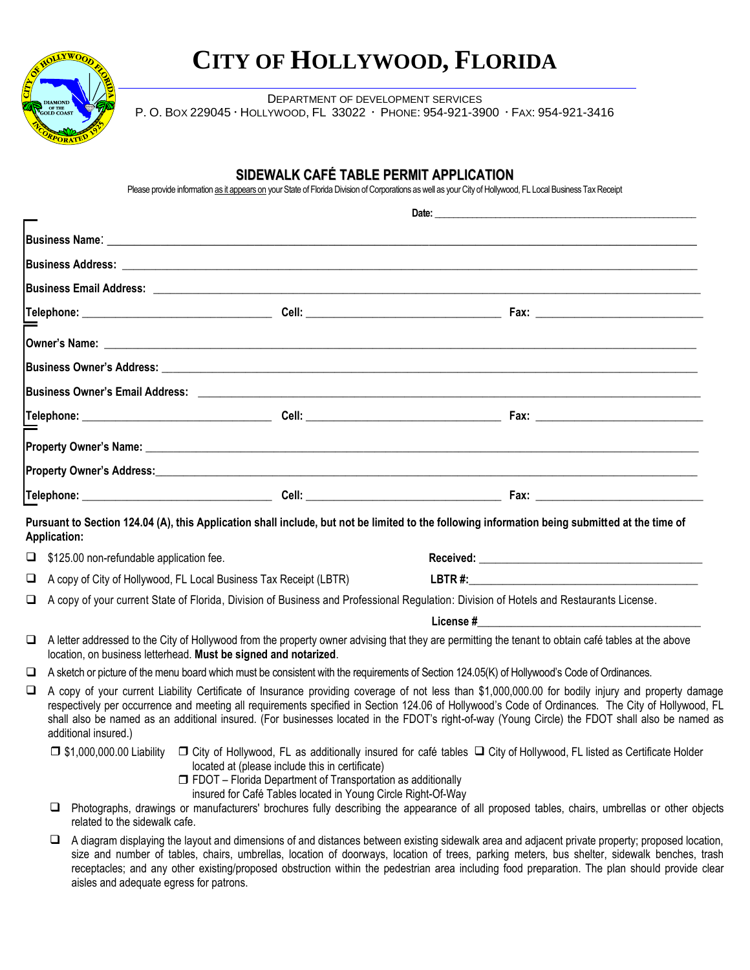

aisles and adequate egress for patrons.

# **CITY OF HOLLYWOOD, FLORIDA**

DEPARTMENT OF DEVELOPMENT SERVICES P. O. BOX 229045 HOLLYWOOD, FL 33022 PHONE: 954-921-3900 FAX: 954-921-3416

## **SIDEWALK CAFÉ TABLE PERMIT APPLICATION**

Please provide information as it appears on your State of Florida Division of Corporations as well as your City of Hollywood, FL Local Business Tax Receipt

|   | <b>Application:</b>                                                                                                                                                                                                                                                                                                                                                                                                                                   |                                                                                                                                                                                       | Pursuant to Section 124.04 (A), this Application shall include, but not be limited to the following information being submitted at the time of                                                                                                                                                                                                                                                                                                             |  |  |
|---|-------------------------------------------------------------------------------------------------------------------------------------------------------------------------------------------------------------------------------------------------------------------------------------------------------------------------------------------------------------------------------------------------------------------------------------------------------|---------------------------------------------------------------------------------------------------------------------------------------------------------------------------------------|------------------------------------------------------------------------------------------------------------------------------------------------------------------------------------------------------------------------------------------------------------------------------------------------------------------------------------------------------------------------------------------------------------------------------------------------------------|--|--|
| ⊔ | \$125.00 non-refundable application fee.                                                                                                                                                                                                                                                                                                                                                                                                              |                                                                                                                                                                                       |                                                                                                                                                                                                                                                                                                                                                                                                                                                            |  |  |
| ⊔ | A copy of City of Hollywood, FL Local Business Tax Receipt (LBTR)                                                                                                                                                                                                                                                                                                                                                                                     |                                                                                                                                                                                       |                                                                                                                                                                                                                                                                                                                                                                                                                                                            |  |  |
| ❏ | A copy of your current State of Florida, Division of Business and Professional Regulation: Division of Hotels and Restaurants License.                                                                                                                                                                                                                                                                                                                |                                                                                                                                                                                       |                                                                                                                                                                                                                                                                                                                                                                                                                                                            |  |  |
|   |                                                                                                                                                                                                                                                                                                                                                                                                                                                       |                                                                                                                                                                                       | License # 2008 and 2008 and 2008 and 2008 and 2008 and 2008 and 2008 and 2008 and 2008 and 2008 and 2008 and 20                                                                                                                                                                                                                                                                                                                                            |  |  |
| ❏ | A letter addressed to the City of Hollywood from the property owner advising that they are permitting the tenant to obtain café tables at the above<br>location, on business letterhead. Must be signed and notarized.                                                                                                                                                                                                                                |                                                                                                                                                                                       |                                                                                                                                                                                                                                                                                                                                                                                                                                                            |  |  |
| ⊔ | A sketch or picture of the menu board which must be consistent with the requirements of Section 124.05(K) of Hollywood's Code of Ordinances.                                                                                                                                                                                                                                                                                                          |                                                                                                                                                                                       |                                                                                                                                                                                                                                                                                                                                                                                                                                                            |  |  |
| ⊔ | additional insured.)                                                                                                                                                                                                                                                                                                                                                                                                                                  |                                                                                                                                                                                       | A copy of your current Liability Certificate of Insurance providing coverage of not less than \$1,000,000.00 for bodily injury and property damage<br>respectively per occurrence and meeting all requirements specified in Section 124.06 of Hollywood's Code of Ordinances. The City of Hollywood, FL<br>shall also be named as an additional insured. (For businesses located in the FDOT's right-of-way (Young Circle) the FDOT shall also be named as |  |  |
|   | related to the sidewalk cafe.                                                                                                                                                                                                                                                                                                                                                                                                                         | located at (please include this in certificate)<br>$\Box$ FDOT – Florida Department of Transportation as additionally<br>insured for Café Tables located in Young Circle Right-Of-Way | □ \$1,000,000.00 Liability □ City of Hollywood, FL as additionally insured for café tables □ City of Hollywood, FL listed as Certificate Holder<br>Photographs, drawings or manufacturers' brochures fully describing the appearance of all proposed tables, chairs, umbrellas or other objects                                                                                                                                                            |  |  |
|   | A diagram displaying the layout and dimensions of and distances between existing sidewalk area and adjacent private property; proposed location,<br>u<br>size and number of tables, chairs, umbrellas, location of doorways, location of trees, parking meters, bus shelter, sidewalk benches, trash<br>receptacles; and any other existing/proposed obstruction within the pedestrian area including food preparation. The plan should provide clear |                                                                                                                                                                                       |                                                                                                                                                                                                                                                                                                                                                                                                                                                            |  |  |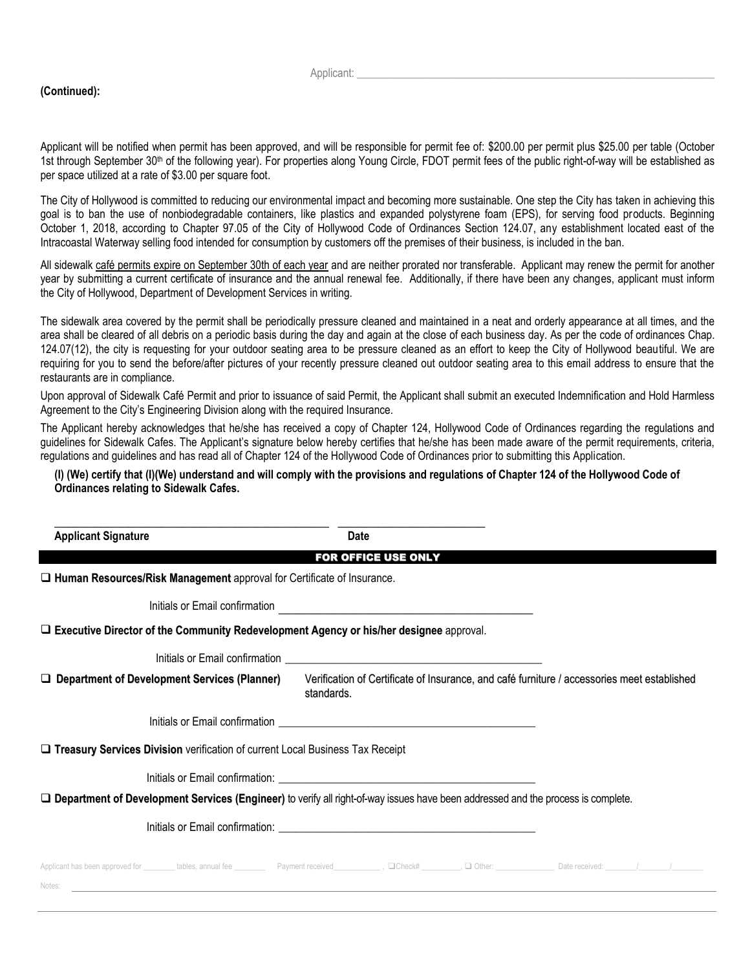#### **(Continued):**

Applicant:

Applicant will be notified when permit has been approved, and will be responsible for permit fee of: \$200.00 per permit plus \$25.00 per table (October 1st through September 30<sup>th</sup> of the following year). For properties along Young Circle, FDOT permit fees of the public right-of-way will be established as per space utilized at a rate of \$3.00 per square foot.

The City of Hollywood is committed to reducing our environmental impact and becoming more sustainable. One step the City has taken in achieving this goal is to ban the use of nonbiodegradable containers, like plastics and expanded polystyrene foam (EPS), for serving food products. Beginning October 1, 2018, according to Chapter 97.05 of the City of Hollywood Code of Ordinances Section 124.07, any establishment located east of the Intracoastal Waterway selling food intended for consumption by customers off the premises of their business, is included in the ban.

All sidewalk café permits expire on September 30th of each year and are neither prorated nor transferable. Applicant may renew the permit for another year by submitting a current certificate of insurance and the annual renewal fee. Additionally, if there have been any changes, applicant must inform the City of Hollywood, Department of Development Services in writing.

The sidewalk area covered by the permit shall be periodically pressure cleaned and maintained in a neat and orderly appearance at all times, and the area shall be cleared of all debris on a periodic basis during the day and again at the close of each business day. As per the code of ordinances Chap. 124.07(12), the city is requesting for your outdoor seating area to be pressure cleaned as an effort to keep the City of Hollywood beautiful. We are requiring for you to send the before/after pictures of your recently pressure cleaned out outdoor seating area to this email address to ensure that the restaurants are in compliance.

Upon approval of Sidewalk Café Permit and prior to issuance of said Permit, the Applicant shall submit an executed Indemnification and Hold Harmless Agreement to the City's Engineering Division along with the required Insurance.

The Applicant hereby acknowledges that he/she has received a copy of Chapter 124, Hollywood Code of Ordinances regarding the regulations and guidelines for Sidewalk Cafes. The Applicant's signature below hereby certifies that he/she has been made aware of the permit requirements, criteria, regulations and guidelines and has read all of Chapter 124 of the Hollywood Code of Ordinances prior to submitting this Application.

#### **(I) (We) certify that (I)(We) understand and will comply with the provisions and regulations of Chapter 124 of the Hollywood Code of Ordinances relating to Sidewalk Cafes.**

| <b>Applicant Signature</b>                                                                                                         | Date                                                                                                                 |  |  |  |  |  |
|------------------------------------------------------------------------------------------------------------------------------------|----------------------------------------------------------------------------------------------------------------------|--|--|--|--|--|
|                                                                                                                                    | <b>FOR OFFICE USE ONLY</b>                                                                                           |  |  |  |  |  |
| $\Box$ Human Resources/Risk Management approval for Certificate of Insurance.                                                      |                                                                                                                      |  |  |  |  |  |
| Initials or Email confirmation                                                                                                     | <u> 1980 - Andrea Andrew Maria (h. 1980).</u>                                                                        |  |  |  |  |  |
| $\square$ Executive Director of the Community Redevelopment Agency or his/her designee approval.                                   |                                                                                                                      |  |  |  |  |  |
|                                                                                                                                    |                                                                                                                      |  |  |  |  |  |
| $\Box$ Department of Development Services (Planner)                                                                                | Verification of Certificate of Insurance, and café furniture / accessories meet established<br>standards.            |  |  |  |  |  |
|                                                                                                                                    |                                                                                                                      |  |  |  |  |  |
| □ Treasury Services Division verification of current Local Business Tax Receipt                                                    |                                                                                                                      |  |  |  |  |  |
|                                                                                                                                    |                                                                                                                      |  |  |  |  |  |
| □ Department of Development Services (Engineer) to verify all right-of-way issues have been addressed and the process is complete. |                                                                                                                      |  |  |  |  |  |
|                                                                                                                                    |                                                                                                                      |  |  |  |  |  |
| Notes:                                                                                                                             | <u> 1989 - Andrea Santa Andrea Andrea Andrea Andrea Andrea Andrea Andrea Andrea Andrea Andrea Andrea Andrea Andr</u> |  |  |  |  |  |
|                                                                                                                                    |                                                                                                                      |  |  |  |  |  |